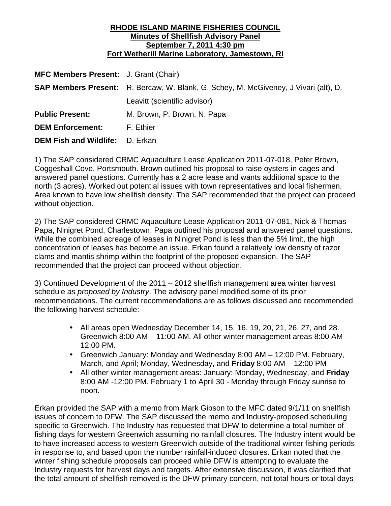### **RHODE ISLAND MARINE FISHERIES COUNCIL Minutes of Shellfish Advisory Panel September 7, 2011 4:30 pm Fort Wetherill Marine Laboratory, Jamestown, RI**

| <b>MFC Members Present:</b> J. Grant (Chair) |                                                                                             |
|----------------------------------------------|---------------------------------------------------------------------------------------------|
|                                              | <b>SAP Members Present:</b> R. Bercaw, W. Blank, G. Schey, M. McGiveney, J Vivari (alt), D. |
|                                              | Leavitt (scientific advisor)                                                                |
| <b>Public Present:</b>                       | M. Brown, P. Brown, N. Papa                                                                 |
| <b>DEM Enforcement:</b>                      | F. Ethier                                                                                   |
| <b>DEM Fish and Wildlife: D. Erkan</b>       |                                                                                             |

1) The SAP considered CRMC Aquaculture Lease Application 2011-07-018, Peter Brown, Coggeshall Cove, Portsmouth. Brown outlined his proposal to raise oysters in cages and answered panel questions. Currently has a 2 acre lease and wants additional space to the north (3 acres). Worked out potential issues with town representatives and local fishermen. Area known to have low shellfish density. The SAP recommended that the project can proceed without objection.

2) The SAP considered CRMC Aquaculture Lease Application 2011-07-081, Nick & Thomas Papa, Ninigret Pond, Charlestown. Papa outlined his proposal and answered panel questions. While the combined acreage of leases in Ninigret Pond is less than the 5% limit, the high concentration of leases has become an issue. Erkan found a relatively low density of razor clams and mantis shrimp within the footprint of the proposed expansion. The SAP recommended that the project can proceed without objection.

3) Continued Development of the 2011 – 2012 shellfish management area winter harvest schedule *as proposed by Industry*. The advisory panel modified some of its prior recommendations. The current recommendations are as follows discussed and recommended the following harvest schedule:

- All areas open Wednesday December 14, 15, 16, 19, 20, 21, 26, 27, and 28. Greenwich 8:00 AM – 11:00 AM. All other winter management areas 8:00 AM – 12:00 PM.
- Greenwich January: Monday and Wednesday 8:00 AM 12:00 PM. February, March, and April; Monday, Wednesday, and **Friday** 8:00 AM – 12:00 PM
- All other winter management areas: January: Monday, Wednesday, and **Friday** 8:00 AM -12:00 PM. February 1 to April 30 - Monday through Friday sunrise to noon.

Erkan provided the SAP with a memo from Mark Gibson to the MFC dated 9/1/11 on shellfish issues of concern to DFW. The SAP discussed the memo and Industry-proposed scheduling specific to Greenwich. The Industry has requested that DFW to determine a total number of fishing days for western Greenwich assuming no rainfall closures. The Industry intent would be to have increased access to western Greenwich outside of the traditional winter fishing periods in response to, and based upon the number rainfall-induced closures. Erkan noted that the winter fishing schedule proposals can proceed while DFW is attempting to evaluate the Industry requests for harvest days and targets. After extensive discussion, it was clarified that the total amount of shellfish removed is the DFW primary concern, not total hours or total days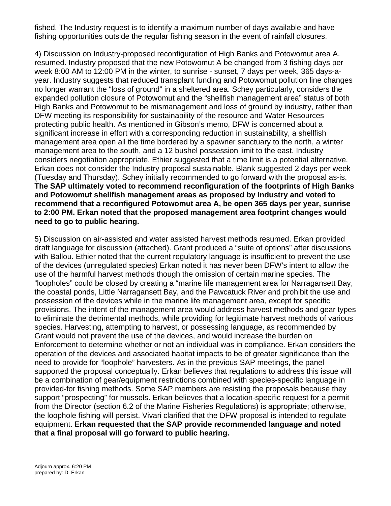fished. The Industry request is to identify a maximum number of days available and have fishing opportunities outside the regular fishing season in the event of rainfall closures.

4) Discussion on Industry-proposed reconfiguration of High Banks and Potowomut area A. resumed. Industry proposed that the new Potowomut A be changed from 3 fishing days per week 8:00 AM to 12:00 PM in the winter, to sunrise - sunset, 7 days per week, 365 days-ayear. Industry suggests that reduced transplant funding and Potowomut pollution line changes no longer warrant the "loss of ground" in a sheltered area. Schey particularly, considers the expanded pollution closure of Potowomut and the "shellfish management area" status of both High Banks and Potowomut to be mismanagement and loss of ground by industry, rather than DFW meeting its responsibility for sustainability of the resource and Water Resources protecting public health. As mentioned in Gibson's memo, DFW is concerned about a significant increase in effort with a corresponding reduction in sustainability, a shellfish management area open all the time bordered by a spawner sanctuary to the north, a winter management area to the south, and a 12 bushel possession limit to the east. Industry considers negotiation appropriate. Ethier suggested that a time limit is a potential alternative. Erkan does not consider the Industry proposal sustainable. Blank suggested 2 days per week (Tuesday and Thursday). Schey initially recommended to go forward with the proposal as-is. **The SAP ultimately voted to recommend reconfiguration of the footprints of High Banks and Potowomut shellfish management areas as proposed by Industry and voted to recommend that a reconfigured Potowomut area A, be open 365 days per year, sunrise to 2:00 PM. Erkan noted that the proposed management area footprint changes would need to go to public hearing.**

5) Discussion on air-assisted and water assisted harvest methods resumed. Erkan provided draft language for discussion (attached). Grant produced a "suite of options" after discussions with Ballou. Ethier noted that the current regulatory language is insufficient to prevent the use of the devices (unregulated species) Erkan noted it has never been DFW's intent to allow the use of the harmful harvest methods though the omission of certain marine species. The "loopholes" could be closed by creating a "marine life management area for Narragansett Bay, the coastal ponds, Little Narragansett Bay, and the Pawcatuck River and prohibit the use and possession of the devices while in the marine life management area, except for specific provisions. The intent of the management area would address harvest methods and gear types to eliminate the detrimental methods, while providing for legitimate harvest methods of various species. Harvesting, attempting to harvest, or possessing language, as recommended by Grant would not prevent the use of the devices, and would increase the burden on Enforcement to determine whether or not an individual was in compliance. Erkan considers the operation of the devices and associated habitat impacts to be of greater significance than the need to provide for "loophole" harvesters. As in the previous SAP meetings, the panel supported the proposal conceptually. Erkan believes that regulations to address this issue will be a combination of gear/equipment restrictions combined with species-specific language in provided-for fishing methods. Some SAP members are resisting the proposals because they support "prospecting" for mussels. Erkan believes that a location-specific request for a permit from the Director (section 6.2 of the Marine Fisheries Regulations) is appropriate; otherwise, the loophole fishing will persist. Vivari clarified that the DFW proposal is intended to regulate equipment. **Erkan requested that the SAP provide recommended language and noted that a final proposal will go forward to public hearing.**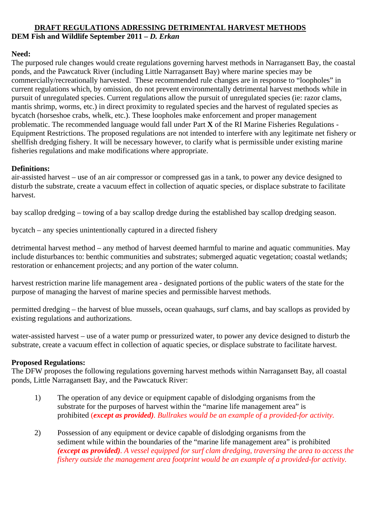# **DRAFT REGULATIONS ADRESSING DETRIMENTAL HARVEST METHODS DEM Fish and Wildlife September 2011 –** *D. Erkan*

#### **Need:**

The purposed rule changes would create regulations governing harvest methods in Narragansett Bay, the coastal ponds, and the Pawcatuck River (including Little Narragansett Bay) where marine species may be commercially/recreationally harvested. These recommended rule changes are in response to "loopholes" in current regulations which, by omission, do not prevent environmentally detrimental harvest methods while in pursuit of unregulated species. Current regulations allow the pursuit of unregulated species (ie: razor clams, mantis shrimp, worms, etc.) in direct proximity to regulated species and the harvest of regulated species as bycatch (horseshoe crabs, whelk, etc.). These loopholes make enforcement and proper management problematic. The recommended language would fall under Part **X** of the RI Marine Fisheries Regulations - Equipment Restrictions. The proposed regulations are not intended to interfere with any legitimate net fishery or shellfish dredging fishery. It will be necessary however, to clarify what is permissible under existing marine fisheries regulations and make modifications where appropriate.

### **Definitions:**

air-assisted harvest – use of an air compressor or compressed gas in a tank, to power any device designed to disturb the substrate, create a vacuum effect in collection of aquatic species, or displace substrate to facilitate harvest.

bay scallop dredging – towing of a bay scallop dredge during the established bay scallop dredging season.

bycatch – any species unintentionally captured in a directed fishery

detrimental harvest method – any method of harvest deemed harmful to marine and aquatic communities. May include disturbances to: benthic communities and substrates; submerged aquatic vegetation; coastal wetlands; restoration or enhancement projects; and any portion of the water column.

harvest restriction marine life management area - designated portions of the public waters of the state for the purpose of managing the harvest of marine species and permissible harvest methods.

permitted dredging – the harvest of blue mussels, ocean quahaugs, surf clams, and bay scallops as provided by existing regulations and authorizations.

water-assisted harvest – use of a water pump or pressurized water, to power any device designed to disturb the substrate, create a vacuum effect in collection of aquatic species, or displace substrate to facilitate harvest.

## **Proposed Regulations:**

The DFW proposes the following regulations governing harvest methods within Narragansett Bay, all coastal ponds, Little Narragansett Bay, and the Pawcatuck River:

- 1) The operation of any device or equipment capable of dislodging organisms from the substrate for the purposes of harvest within the "marine life management area" is prohibited (*except as provided). Bullrakes would be an example of a provided-for activity.*
- 2) Possession of any equipment or device capable of dislodging organisms from the sediment while within the boundaries of the "marine life management area" is prohibited *(except as provided). A vessel equipped for surf clam dredging, traversing the area to access the fishery outside the management area footprint would be an example of a provided-for activity.*